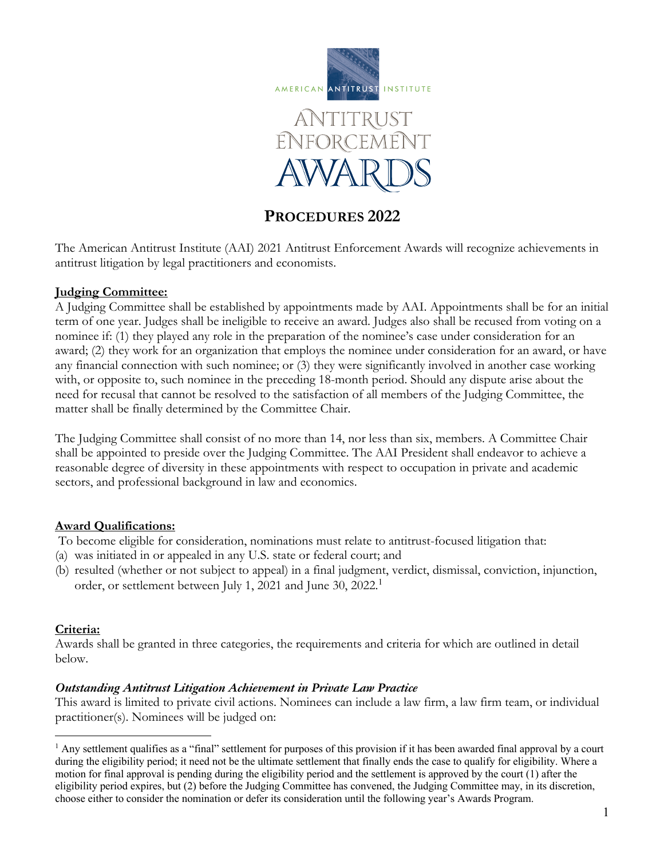



# **PROCEDURES 2022**

The American Antitrust Institute (AAI) 2021 Antitrust Enforcement Awards will recognize achievements in antitrust litigation by legal practitioners and economists.

## **Judging Committee:**

A Judging Committee shall be established by appointments made by AAI. Appointments shall be for an initial term of one year. Judges shall be ineligible to receive an award. Judges also shall be recused from voting on a nominee if: (1) they played any role in the preparation of the nominee's case under consideration for an award; (2) they work for an organization that employs the nominee under consideration for an award, or have any financial connection with such nominee; or (3) they were significantly involved in another case working with, or opposite to, such nominee in the preceding 18-month period. Should any dispute arise about the need for recusal that cannot be resolved to the satisfaction of all members of the Judging Committee, the matter shall be finally determined by the Committee Chair.

The Judging Committee shall consist of no more than 14, nor less than six, members. A Committee Chair shall be appointed to preside over the Judging Committee. The AAI President shall endeavor to achieve a reasonable degree of diversity in these appointments with respect to occupation in private and academic sectors, and professional background in law and economics.

# **Award Qualifications:**

To become eligible for consideration, nominations must relate to antitrust-focused litigation that:

- (a) was initiated in or appealed in any U.S. state or federal court; and
- (b) resulted (whether or not subject to appeal) in a final judgment, verdict, dismissal, conviction, injunction, order, or settlement between July 1, 2021 and June 30, 2022. 1

## **Criteria:**

Awards shall be granted in three categories, the requirements and criteria for which are outlined in detail below.

## *Outstanding Antitrust Litigation Achievement in Private Law Practice*

This award is limited to private civil actions. Nominees can include a law firm, a law firm team, or individual practitioner(s). Nominees will be judged on:

 $<sup>1</sup>$  Any settlement qualifies as a "final" settlement for purposes of this provision if it has been awarded final approval by a court</sup> during the eligibility period; it need not be the ultimate settlement that finally ends the case to qualify for eligibility. Where a motion for final approval is pending during the eligibility period and the settlement is approved by the court (1) after the eligibility period expires, but (2) before the Judging Committee has convened, the Judging Committee may, in its discretion, choose either to consider the nomination or defer its consideration until the following year's Awards Program.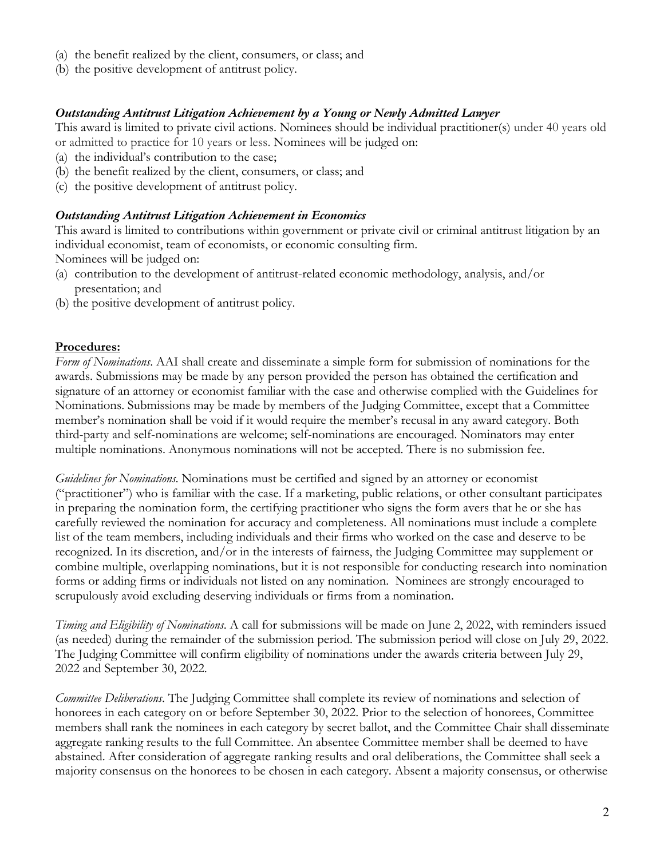- (a) the benefit realized by the client, consumers, or class; and
- (b) the positive development of antitrust policy.

## *Outstanding Antitrust Litigation Achievement by a Young or Newly Admitted Lawyer*

This award is limited to private civil actions. Nominees should be individual practitioner(s) under 40 years old or admitted to practice for 10 years or less. Nominees will be judged on:

- (a) the individual's contribution to the case;
- (b) the benefit realized by the client, consumers, or class; and
- (c) the positive development of antitrust policy.

#### *Outstanding Antitrust Litigation Achievement in Economics*

This award is limited to contributions within government or private civil or criminal antitrust litigation by an individual economist, team of economists, or economic consulting firm.

Nominees will be judged on:

- (a) contribution to the development of antitrust-related economic methodology, analysis, and/or presentation; and
- (b) the positive development of antitrust policy.

#### **Procedures:**

*Form of Nominations*. AAI shall create and disseminate a simple form for submission of nominations for the awards. Submissions may be made by any person provided the person has obtained the certification and signature of an attorney or economist familiar with the case and otherwise complied with the Guidelines for Nominations. Submissions may be made by members of the Judging Committee, except that a Committee member's nomination shall be void if it would require the member's recusal in any award category. Both third-party and self-nominations are welcome; self-nominations are encouraged. Nominators may enter multiple nominations. Anonymous nominations will not be accepted. There is no submission fee.

*Guidelines for Nominations.* Nominations must be certified and signed by an attorney or economist ("practitioner") who is familiar with the case. If a marketing, public relations, or other consultant participates in preparing the nomination form, the certifying practitioner who signs the form avers that he or she has carefully reviewed the nomination for accuracy and completeness. All nominations must include a complete list of the team members, including individuals and their firms who worked on the case and deserve to be recognized. In its discretion, and/or in the interests of fairness, the Judging Committee may supplement or combine multiple, overlapping nominations, but it is not responsible for conducting research into nomination forms or adding firms or individuals not listed on any nomination. Nominees are strongly encouraged to scrupulously avoid excluding deserving individuals or firms from a nomination.

*Timing and Eligibility of Nominations*. A call for submissions will be made on June 2, 2022, with reminders issued (as needed) during the remainder of the submission period. The submission period will close on July 29, 2022. The Judging Committee will confirm eligibility of nominations under the awards criteria between July 29, 2022 and September 30, 2022.

*Committee Deliberations*. The Judging Committee shall complete its review of nominations and selection of honorees in each category on or before September 30, 2022. Prior to the selection of honorees, Committee members shall rank the nominees in each category by secret ballot, and the Committee Chair shall disseminate aggregate ranking results to the full Committee. An absentee Committee member shall be deemed to have abstained. After consideration of aggregate ranking results and oral deliberations, the Committee shall seek a majority consensus on the honorees to be chosen in each category. Absent a majority consensus, or otherwise